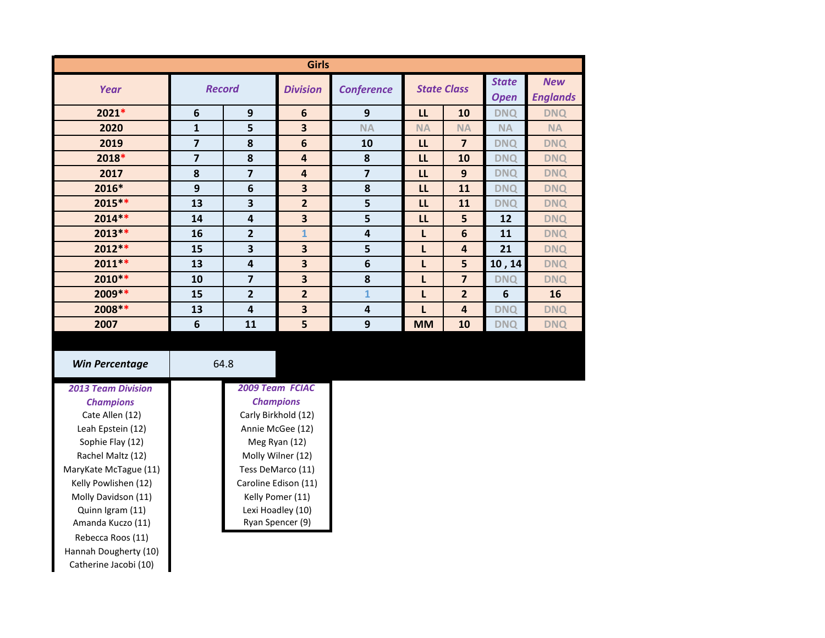| <b>Girls</b> |                         |                         |                         |                   |                    |                |                             |                               |
|--------------|-------------------------|-------------------------|-------------------------|-------------------|--------------------|----------------|-----------------------------|-------------------------------|
| Year         | <b>Record</b>           |                         | <b>Division</b>         | <b>Conference</b> | <b>State Class</b> |                | <b>State</b><br><b>Open</b> | <b>New</b><br><b>Englands</b> |
| $2021*$      | $\boldsymbol{6}$        | 9                       | $6\phantom{1}6$         | 9                 | L                  | 10             | <b>DNQ</b>                  | <b>DNQ</b>                    |
| 2020         | $\mathbf{1}$            | 5                       | 3                       | <b>NA</b>         | <b>NA</b>          | <b>NA</b>      | <b>NA</b>                   | <b>NA</b>                     |
| 2019         | 7                       | 8                       | $6\phantom{1}6$         | 10                | LL                 | $\overline{7}$ | <b>DNQ</b>                  | <b>DNQ</b>                    |
| 2018*        | $\overline{\mathbf{z}}$ | 8                       | $\overline{4}$          | 8                 | LL                 | 10             | <b>DNQ</b>                  | <b>DNQ</b>                    |
| 2017         | 8                       | $\overline{7}$          | $\overline{4}$          | 7                 | LL                 | 9              | <b>DNQ</b>                  | <b>DNQ</b>                    |
| 2016*        | 9                       | 6                       | 3                       | 8                 | LL                 | 11             | <b>DNQ</b>                  | <b>DNQ</b>                    |
| $2015***$    | 13                      | 3                       | $\overline{2}$          | 5                 | LL                 | 11             | <b>DNQ</b>                  | <b>DNQ</b>                    |
| $2014**$     | 14                      | 4                       | $\overline{\mathbf{3}}$ | 5                 | LL                 | 5              | 12                          | <b>DNQ</b>                    |
| $2013**$     | 16                      | 2                       | $\mathbf{1}$            | 4                 | L                  | 6              | 11                          | <b>DNQ</b>                    |
| $2012**$     | 15                      | 3                       | $\overline{\mathbf{3}}$ | 5                 | L                  | 4              | 21                          | <b>DNQ</b>                    |
| $2011**$     | 13                      | 4                       | $\overline{\mathbf{3}}$ | 6                 | L                  | 5              | 10, 14                      | <b>DNQ</b>                    |
| $2010**$     | 10                      | $\overline{\mathbf{z}}$ | $\overline{\mathbf{3}}$ | 8                 | L                  | $\overline{7}$ | <b>DNQ</b>                  | <b>DNQ</b>                    |
| $2009**$     | 15                      | 2                       | $\overline{2}$          | $\mathbf{1}$      | L                  | $\overline{2}$ | 6                           | 16                            |
| 2008 **      | 13                      | 4                       | 3                       | 4                 | $\mathsf{L}$       | $\overline{4}$ | <b>DNQ</b>                  | <b>DNQ</b>                    |
| 2007         | $6\phantom{1}6$         | 11                      | 5                       | 9                 | <b>MM</b>          | 10             | <b>DNQ</b>                  | <b>DNQ</b>                    |

*2013 Team Division Champions* Cate Allen (12) Leah Epstein (12) Sophie Flay (12) Rachel Maltz (12) MaryKate McTague (11) Kelly Powlishen (12) Molly Davidson (11) Quinn Igram (11) Amanda Kuczo (11) Rebecca Roos (11) Hannah Dougherty (10) Catherine Jacobi (10) Carly Birkhold (12) Annie McGee (12) Meg Ryan (12) Molly Wilner (12) Tess DeMarco (11) Caroline Edison (11) Kelly Pomer (11) Lexi Hoadley (10) Ryan Spencer (9) *2009 Team FCIAC Champions* **Win Percentage 64.8**